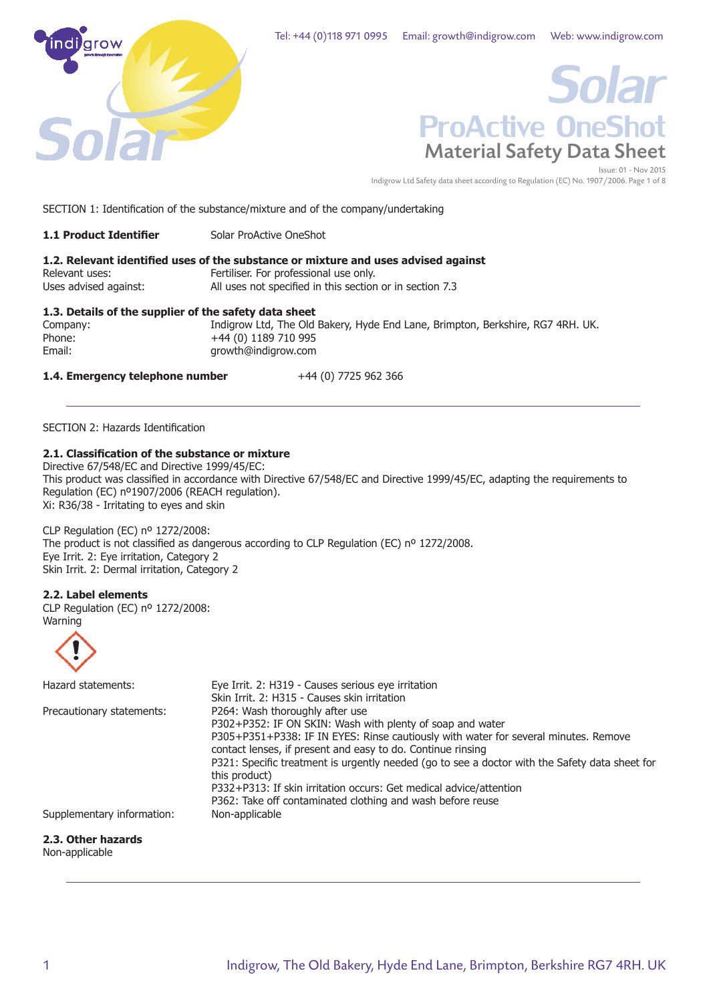



Indigrow Ltd Safety data sheet according to Regulation (EC) No. 1907/2006. Page 1 of 8

SECTION 1: Identification of the substance/mixture and of the company/undertaking

| <b>1.1 Product Identifier</b> | Solar ProActive OneShot |
|-------------------------------|-------------------------|
|-------------------------------|-------------------------|

# **1.2. Relevant identified uses of the substance or mixture and uses advised against** Relevant uses: Fertiliser. For professional use only.<br>Uses advised against: All uses not specified in this section All uses not specified in this section or in section 7.3

# **1.3. Details of the supplier of the safety data sheet**

Indigrow Ltd, The Old Bakery, Hyde End Lane, Brimpton, Berkshire, RG7 4RH. UK. Phone: +44 (0) 1189 710 995<br>Email: example arowth@indigrow.com growth@indigrow.com

**1.4. Emergency telephone number** +44 (0) 7725 962 366

SECTION 2: Hazards Identification

# **2.1. Classification of the substance or mixture**

Directive 67/548/EC and Directive 1999/45/EC: This product was classified in accordance with Directive 67/548/EC and Directive 1999/45/EC, adapting the requirements to Regulation (EC) nº1907/2006 (REACH regulation). Xi: R36/38 - Irritating to eyes and skin

CLP Regulation (EC) nº 1272/2008:

The product is not classified as dangerous according to CLP Regulation (EC) nº 1272/2008. Eye Irrit. 2: Eye irritation, Category 2 Skin Irrit. 2: Dermal irritation, Category 2

# **2.2. Label elements**

CLP Regulation (EC) nº 1272/2008: Warning



| Hazard statements:         | Eye Irrit. 2: H319 - Causes serious eye irritation                                                              |
|----------------------------|-----------------------------------------------------------------------------------------------------------------|
|                            | Skin Irrit, 2: H315 - Causes skin irritation                                                                    |
| Precautionary statements:  | P264: Wash thoroughly after use                                                                                 |
|                            | P302+P352: IF ON SKIN: Wash with plenty of soap and water                                                       |
|                            | P305+P351+P338: IF IN EYES: Rinse cautiously with water for several minutes. Remove                             |
|                            | contact lenses, if present and easy to do. Continue rinsing                                                     |
|                            | P321: Specific treatment is urgently needed (go to see a doctor with the Safety data sheet for<br>this product) |
|                            | P332+P313: If skin irritation occurs: Get medical advice/attention                                              |
|                            | P362: Take off contaminated clothing and wash before reuse                                                      |
| Supplementary information: | Non-applicable                                                                                                  |

# **2.3. Other hazards**

Non-applicable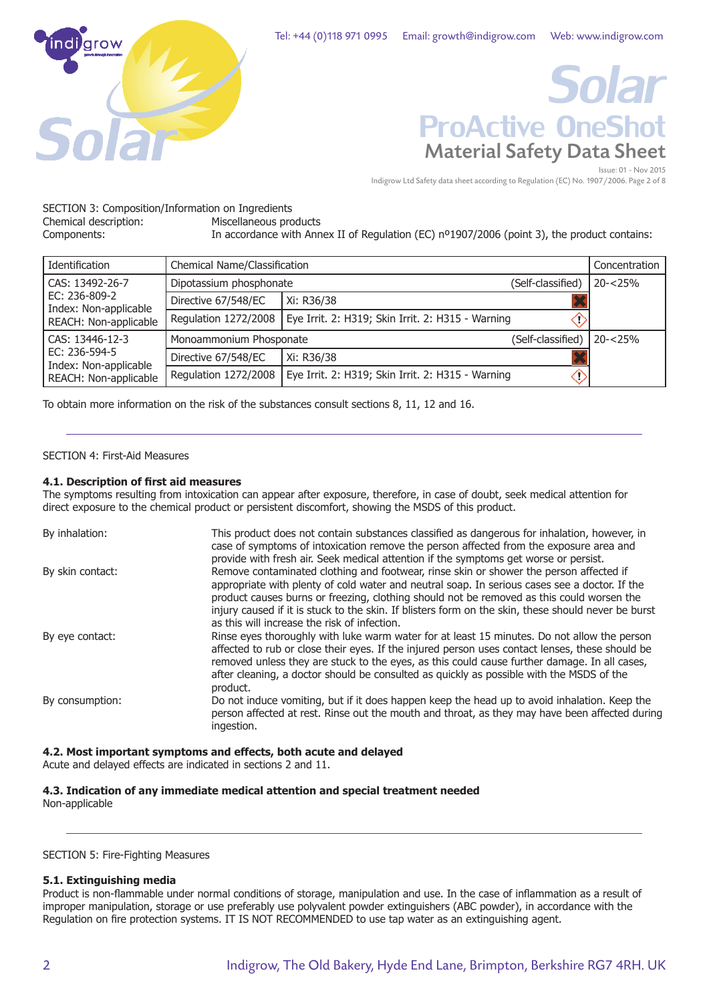

# Material Safety Data Sheet Issue: 01 - Nov 2015 *Solar* ProActive OneShot

Indigrow Ltd Safety data sheet according to Regulation (EC) No. 1907/2006. Page 2 of 8

SECTION 3: Composition/Information on Ingredients<br>Chemical description: Miscellaneous pro Miscellaneous products

Components: In accordance with Annex II of Regulation (EC) n<sup>o</sup>1907/2006 (point 3), the product contains:

| Identification                         | Chemical Name/Classification                 |                                                   |                   | Concentration |
|----------------------------------------|----------------------------------------------|---------------------------------------------------|-------------------|---------------|
| CAS: 13492-26-7                        | Dipotassium phosphonate<br>(Self-classified) |                                                   | $20 - 25%$        |               |
| EC: 236-809-2<br>Index: Non-applicable | Directive 67/548/EC                          | Xi: R36/38                                        |                   |               |
| REACH: Non-applicable                  | Regulation 1272/2008                         | Eye Irrit. 2: H319; Skin Irrit. 2: H315 - Warning |                   |               |
| CAS: 13446-12-3                        | Monoammonium Phosponate                      |                                                   | (Self-classified) | $20 - 25%$    |
| EC: 236-594-5<br>Index: Non-applicable | Directive 67/548/EC                          | Xi: R36/38                                        |                   |               |
| REACH: Non-applicable                  | Regulation 1272/2008                         | Eye Irrit. 2: H319; Skin Irrit. 2: H315 - Warning | U.                |               |

To obtain more information on the risk of the substances consult sections 8, 11, 12 and 16.

## SECTION 4: First-Aid Measures

## **4.1. Description of first aid measures**

The symptoms resulting from intoxication can appear after exposure, therefore, in case of doubt, seek medical attention for direct exposure to the chemical product or persistent discomfort, showing the MSDS of this product.

| By inhalation:   | This product does not contain substances classified as dangerous for inhalation, however, in<br>case of symptoms of intoxication remove the person affected from the exposure area and                                                                                                                                                                                                                                                                                              |
|------------------|-------------------------------------------------------------------------------------------------------------------------------------------------------------------------------------------------------------------------------------------------------------------------------------------------------------------------------------------------------------------------------------------------------------------------------------------------------------------------------------|
| By skin contact: | provide with fresh air. Seek medical attention if the symptoms get worse or persist.<br>Remove contaminated clothing and footwear, rinse skin or shower the person affected if<br>appropriate with plenty of cold water and neutral soap. In serious cases see a doctor. If the<br>product causes burns or freezing, clothing should not be removed as this could worsen the<br>injury caused if it is stuck to the skin. If blisters form on the skin, these should never be burst |
|                  | as this will increase the risk of infection.                                                                                                                                                                                                                                                                                                                                                                                                                                        |
| By eye contact:  | Rinse eyes thoroughly with luke warm water for at least 15 minutes. Do not allow the person<br>affected to rub or close their eyes. If the injured person uses contact lenses, these should be<br>removed unless they are stuck to the eyes, as this could cause further damage. In all cases,<br>after cleaning, a doctor should be consulted as quickly as possible with the MSDS of the<br>product.                                                                              |
| By consumption:  | Do not induce vomiting, but if it does happen keep the head up to avoid inhalation. Keep the<br>person affected at rest. Rinse out the mouth and throat, as they may have been affected during<br>ingestion.                                                                                                                                                                                                                                                                        |

# **4.2. Most important symptoms and effects, both acute and delayed**

Acute and delayed effects are indicated in sections 2 and 11.

# **4.3. Indication of any immediate medical attention and special treatment needed**

Non-applicable

#### SECTION 5: Fire-Fighting Measures

# **5.1. Extinguishing media**

Product is non-flammable under normal conditions of storage, manipulation and use. In the case of inflammation as a result of improper manipulation, storage or use preferably use polyvalent powder extinguishers (ABC powder), in accordance with the Regulation on fire protection systems. IT IS NOT RECOMMENDED to use tap water as an extinguishing agent.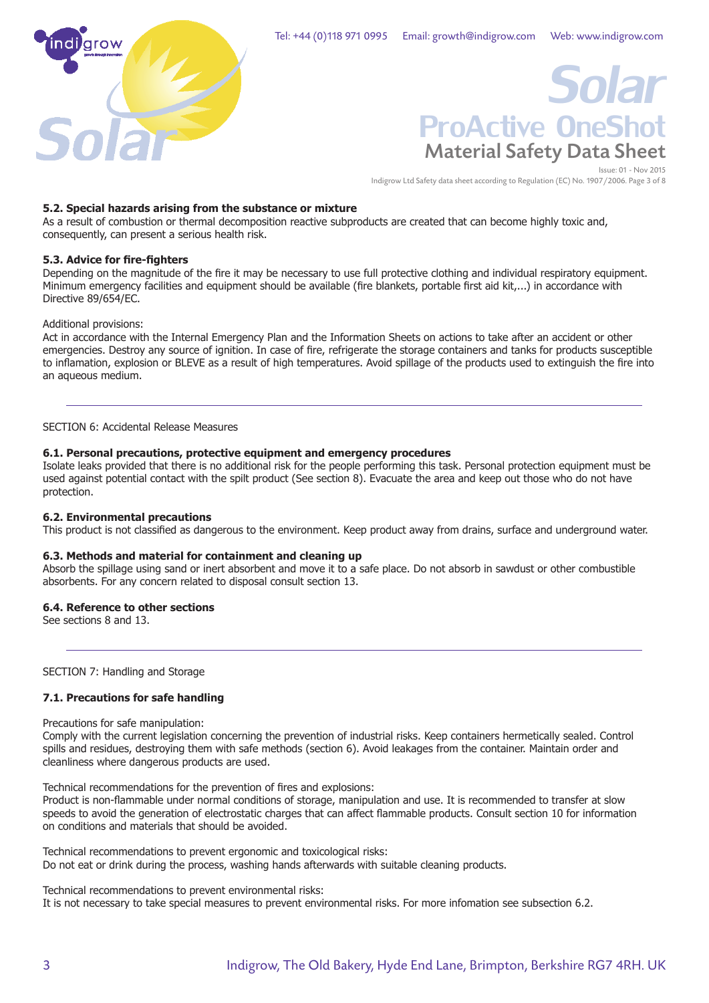

# Material Safety Data Sheet Issue: 01 - Nov 2015 *Solar* ProActive OneShot

Indigrow Ltd Safety data sheet according to Regulation (EC) No. 1907/2006. Page 3 of 8

## **5.2. Special hazards arising from the substance or mixture**

As a result of combustion or thermal decomposition reactive subproducts are created that can become highly toxic and, consequently, can present a serious health risk.

## **5.3. Advice for fire-fighters**

Depending on the magnitude of the fire it may be necessary to use full protective clothing and individual respiratory equipment. Minimum emergency facilities and equipment should be available (fire blankets, portable first aid kit,...) in accordance with Directive 89/654/EC.

#### Additional provisions:

Act in accordance with the Internal Emergency Plan and the Information Sheets on actions to take after an accident or other emergencies. Destroy any source of ignition. In case of fire, refrigerate the storage containers and tanks for products susceptible to inflamation, explosion or BLEVE as a result of high temperatures. Avoid spillage of the products used to extinguish the fire into an aqueous medium.

SECTION 6: Accidental Release Measures

#### **6.1. Personal precautions, protective equipment and emergency procedures**

Isolate leaks provided that there is no additional risk for the people performing this task. Personal protection equipment must be used against potential contact with the spilt product (See section 8). Evacuate the area and keep out those who do not have protection.

#### **6.2. Environmental precautions**

This product is not classified as dangerous to the environment. Keep product away from drains, surface and underground water.

#### **6.3. Methods and material for containment and cleaning up**

Absorb the spillage using sand or inert absorbent and move it to a safe place. Do not absorb in sawdust or other combustible absorbents. For any concern related to disposal consult section 13.

#### **6.4. Reference to other sections**

See sections 8 and 13.

SECTION 7: Handling and Storage

# **7.1. Precautions for safe handling**

Precautions for safe manipulation:

Comply with the current legislation concerning the prevention of industrial risks. Keep containers hermetically sealed. Control spills and residues, destroying them with safe methods (section 6). Avoid leakages from the container. Maintain order and cleanliness where dangerous products are used.

Technical recommendations for the prevention of fires and explosions:

Product is non-flammable under normal conditions of storage, manipulation and use. It is recommended to transfer at slow speeds to avoid the generation of electrostatic charges that can affect flammable products. Consult section 10 for information on conditions and materials that should be avoided.

Technical recommendations to prevent ergonomic and toxicological risks: Do not eat or drink during the process, washing hands afterwards with suitable cleaning products.

Technical recommendations to prevent environmental risks: It is not necessary to take special measures to prevent environmental risks. For more infomation see subsection 6.2.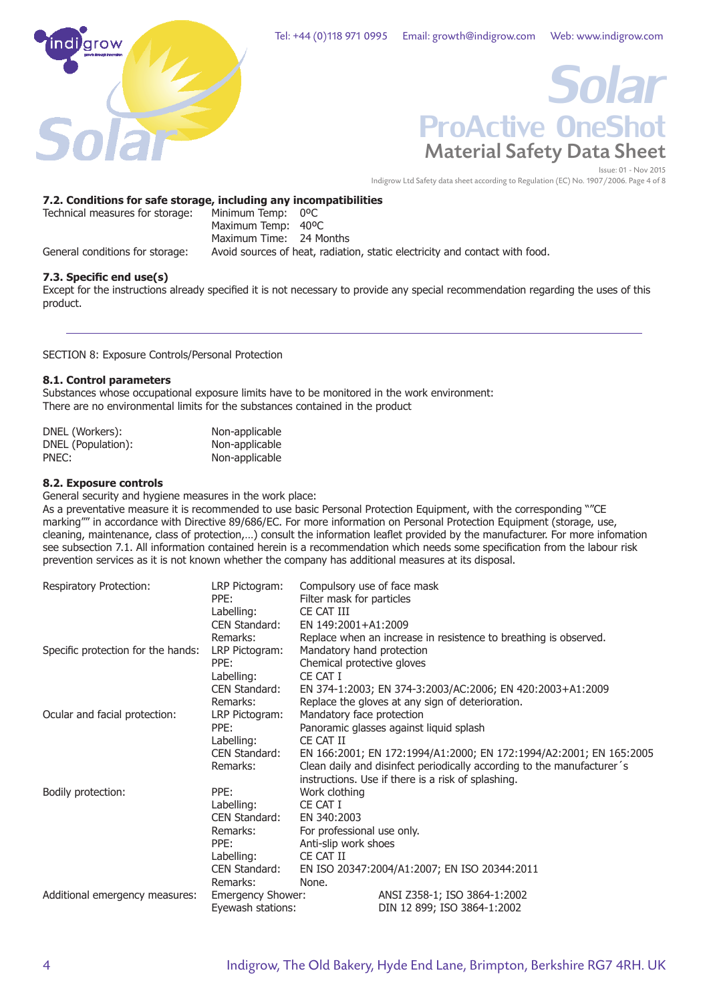

# Material Safety Data Sheet *Solar* ProActive OneShot

Issue: 01 - Nov 2015 Indigrow Ltd Safety data sheet according to Regulation (EC) No. 1907/2006. Page 4 of 8

# **7.2. Conditions for safe storage, including any incompatibilities**

| Technical measures for storage: | Minimum Temp: 0°C       |                                                                             |
|---------------------------------|-------------------------|-----------------------------------------------------------------------------|
|                                 | Maximum Temp: 40°C      |                                                                             |
|                                 | Maximum Time: 24 Months |                                                                             |
| General conditions for storage: |                         | Avoid sources of heat, radiation, static electricity and contact with food. |

## **7.3. Specific end use(s)**

Except for the instructions already specified it is not necessary to provide any special recommendation regarding the uses of this product.

SECTION 8: Exposure Controls/Personal Protection

#### **8.1. Control parameters**

Substances whose occupational exposure limits have to be monitored in the work environment: There are no environmental limits for the substances contained in the product

| DNEL (Workers):    | Non-applicable |
|--------------------|----------------|
| DNEL (Population): | Non-applicable |
| PNEC:              | Non-applicable |

## **8.2. Exposure controls**

General security and hygiene measures in the work place:

As a preventative measure it is recommended to use basic Personal Protection Equipment, with the corresponding ""CE marking"" in accordance with Directive 89/686/EC. For more information on Personal Protection Equipment (storage, use, cleaning, maintenance, class of protection,…) consult the information leaflet provided by the manufacturer. For more infomation see subsection 7.1. All information contained herein is a recommendation which needs some specification from the labour risk prevention services as it is not known whether the company has additional measures at its disposal.

| <b>Respiratory Protection:</b>     | LRP Pictogram:<br>PPE:      | Compulsory use of face mask<br>Filter mask for particles               |  |  |
|------------------------------------|-----------------------------|------------------------------------------------------------------------|--|--|
|                                    |                             |                                                                        |  |  |
|                                    | Labelling:<br>CEN Standard: | CE CAT III<br>EN 149:2001+A1:2009                                      |  |  |
|                                    |                             |                                                                        |  |  |
|                                    | Remarks:                    | Replace when an increase in resistence to breathing is observed.       |  |  |
| Specific protection for the hands: | LRP Pictogram:              | Mandatory hand protection                                              |  |  |
|                                    | PPF:                        | Chemical protective gloves                                             |  |  |
|                                    | Labelling:                  | CE CAT I                                                               |  |  |
|                                    | CEN Standard:               | EN 374-1:2003; EN 374-3:2003/AC:2006; EN 420:2003+A1:2009              |  |  |
|                                    | Remarks:                    | Replace the gloves at any sign of deterioration.                       |  |  |
| Ocular and facial protection:      | LRP Pictogram:              | Mandatory face protection                                              |  |  |
|                                    | PPE:                        | Panoramic glasses against liquid splash                                |  |  |
|                                    | Labelling:                  | CE CAT II                                                              |  |  |
|                                    | CEN Standard:               | EN 166:2001; EN 172:1994/A1:2000; EN 172:1994/A2:2001; EN 165:2005     |  |  |
|                                    | Remarks:                    | Clean daily and disinfect periodically according to the manufacturer's |  |  |
|                                    |                             | instructions. Use if there is a risk of splashing.                     |  |  |
| Bodily protection:                 | PPE:                        | Work clothing                                                          |  |  |
|                                    | Labelling:                  | CE CAT I                                                               |  |  |
|                                    | CEN Standard:               | EN 340:2003                                                            |  |  |
|                                    | Remarks:                    | For professional use only.                                             |  |  |
|                                    | PPE:                        | Anti-slip work shoes                                                   |  |  |
|                                    | Labelling:                  | CE CAT II                                                              |  |  |
|                                    | CEN Standard:               | EN ISO 20347:2004/A1:2007; EN ISO 20344:2011                           |  |  |
|                                    | Remarks:                    | None.                                                                  |  |  |
| Additional emergency measures:     |                             | ANSI Z358-1; ISO 3864-1:2002                                           |  |  |
|                                    | <b>Emergency Shower:</b>    |                                                                        |  |  |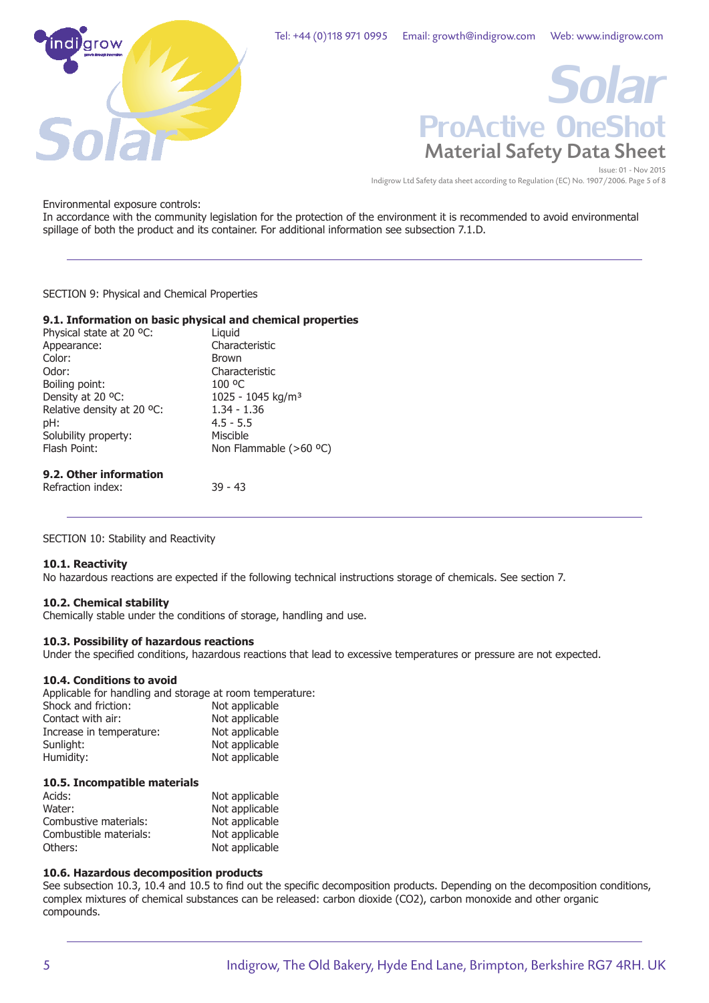



Indigrow Ltd Safety data sheet according to Regulation (EC) No. 1907/2006. Page 5 of 8

Environmental exposure controls:

In accordance with the community legislation for the protection of the environment it is recommended to avoid environmental spillage of both the product and its container. For additional information see subsection 7.1.D.

SECTION 9: Physical and Chemical Properties

#### **9.1. Information on basic physical and chemical properties**

| Physical state at 20 °C:   | Liguid                        |
|----------------------------|-------------------------------|
| Appearance:                | Characteristic                |
| Color:                     | <b>Brown</b>                  |
| Odor:                      | Characteristic                |
| Boiling point:             | 100 °C                        |
| Density at 20 °C:          | 1025 - 1045 kg/m <sup>3</sup> |
| Relative density at 20 °C: | $1.34 - 1.36$                 |
| pH:                        | $4.5 - 5.5$                   |
| Solubility property:       | Miscible                      |
| Flash Point:               | Non Flammable (>60 °C)        |
|                            |                               |
|                            |                               |

# **9.2. Other information**

Refraction index: 39 - 43

SECTION 10: Stability and Reactivity

#### **10.1. Reactivity**

No hazardous reactions are expected if the following technical instructions storage of chemicals. See section 7.

#### **10.2. Chemical stability**

Chemically stable under the conditions of storage, handling and use.

#### **10.3. Possibility of hazardous reactions**

Under the specified conditions, hazardous reactions that lead to excessive temperatures or pressure are not expected.

# **10.4. Conditions to avoid**

Applicable for handling and storage at room temperature:

| Not applicable |
|----------------|
| Not applicable |
| Not applicable |
| Not applicable |
| Not applicable |
|                |

#### **10.5. Incompatible materials**

| Acids:                 | Not applicable |
|------------------------|----------------|
| Water:                 | Not applicable |
| Combustive materials:  | Not applicable |
| Combustible materials: | Not applicable |
| Others:                | Not applicable |

# **10.6. Hazardous decomposition products**

See subsection 10.3, 10.4 and 10.5 to find out the specific decomposition products. Depending on the decomposition conditions, complex mixtures of chemical substances can be released: carbon dioxide (CO2), carbon monoxide and other organic compounds.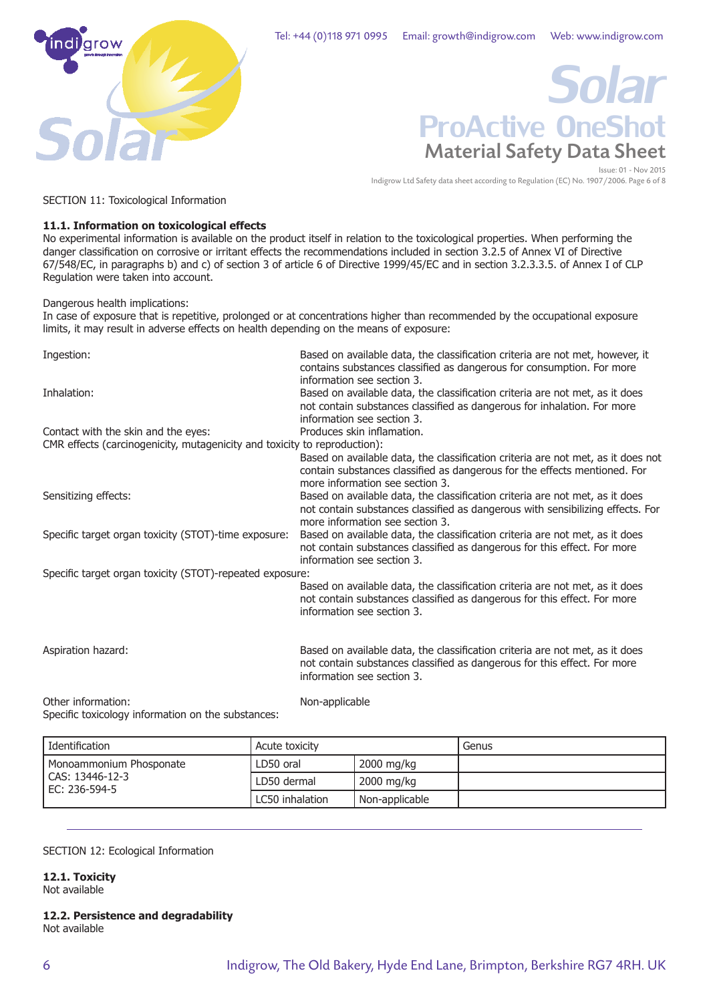

# Material Safety Data Sheet *Solar* ProActive OneShot

Issue: 01 - Nov 2015 Indigrow Ltd Safety data sheet according to Regulation (EC) No. 1907/2006. Page 6 of 8

SECTION 11: Toxicological Information

# **11.1. Information on toxicological effects**

No experimental information is available on the product itself in relation to the toxicological properties. When performing the danger classification on corrosive or irritant effects the recommendations included in section 3.2.5 of Annex VI of Directive 67/548/EC, in paragraphs b) and c) of section 3 of article 6 of Directive 1999/45/EC and in section 3.2.3.3.5. of Annex I of CLP Regulation were taken into account.

Dangerous health implications:

In case of exposure that is repetitive, prolonged or at concentrations higher than recommended by the occupational exposure limits, it may result in adverse effects on health depending on the means of exposure:

| Ingestion:                                                                                                       | Based on available data, the classification criteria are not met, however, it<br>contains substances classified as dangerous for consumption. For more<br>information see section 3.              |
|------------------------------------------------------------------------------------------------------------------|---------------------------------------------------------------------------------------------------------------------------------------------------------------------------------------------------|
| Inhalation:                                                                                                      | Based on available data, the classification criteria are not met, as it does<br>not contain substances classified as dangerous for inhalation. For more<br>information see section 3.             |
| Contact with the skin and the eyes:<br>CMR effects (carcinogenicity, mutagenicity and toxicity to reproduction): | Produces skin inflamation.                                                                                                                                                                        |
|                                                                                                                  | Based on available data, the classification criteria are not met, as it does not<br>contain substances classified as dangerous for the effects mentioned. For<br>more information see section 3.  |
| Sensitizing effects:                                                                                             | Based on available data, the classification criteria are not met, as it does<br>not contain substances classified as dangerous with sensibilizing effects. For<br>more information see section 3. |
| Specific target organ toxicity (STOT)-time exposure:                                                             | Based on available data, the classification criteria are not met, as it does<br>not contain substances classified as dangerous for this effect. For more<br>information see section 3.            |
| Specific target organ toxicity (STOT)-repeated exposure:                                                         |                                                                                                                                                                                                   |
|                                                                                                                  | Based on available data, the classification criteria are not met, as it does<br>not contain substances classified as dangerous for this effect. For more<br>information see section 3.            |
| Aspiration hazard:                                                                                               | Based on available data, the classification criteria are not met, as it does<br>not contain substances classified as dangerous for this effect. For more<br>information see section 3.            |
| Other information:<br>Specific toxicology information on the substances:                                         | Non-applicable                                                                                                                                                                                    |

 $p$ ecific toxicology information on the substances:  $\,$ 

| l Identification                     | Acute toxicity  |                | Genus |
|--------------------------------------|-----------------|----------------|-------|
| Monoammonium Phosponate              | LD50 oral       | 2000 mg/kg     |       |
| l CAS: 13446-12-3<br>l EC: 236-594-5 | LD50 dermal     | 2000 mg/kg     |       |
|                                      | LC50 inhalation | Non-applicable |       |

# SECTION 12: Ecological Information

**12.1. Toxicity**

Not available

**12.2. Persistence and degradability** Not available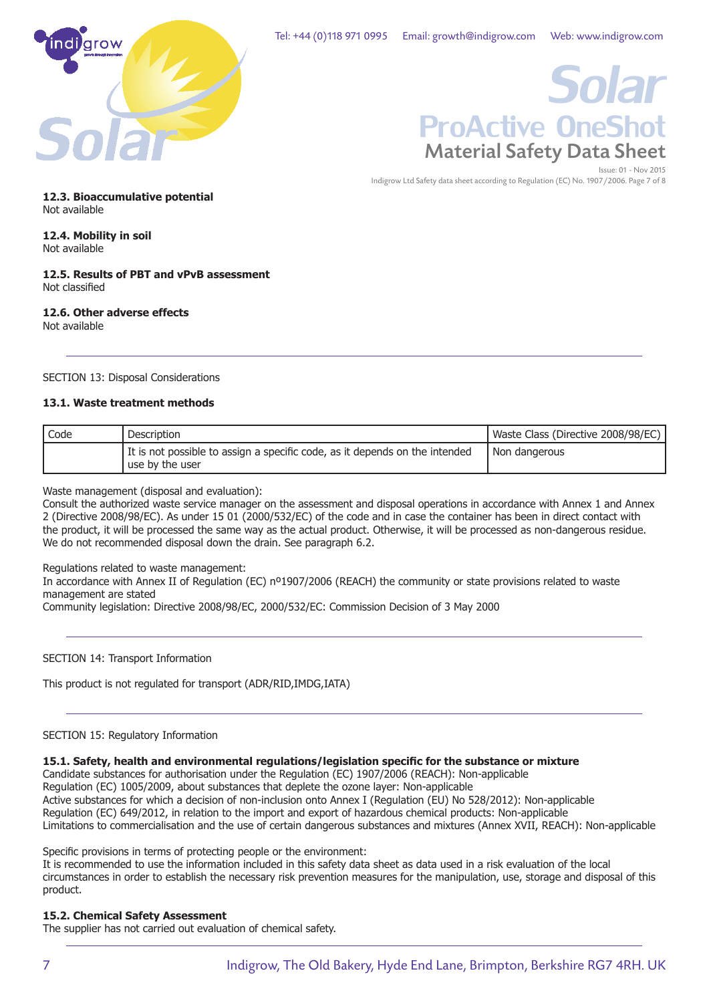

# Material Safety Data Sheet Issue: 01 - Nov 2015 *Solar* ProActive OneShot

Indigrow Ltd Safety data sheet according to Regulation (EC) No. 1907/2006. Page 7 of 8

**12.3. Bioaccumulative potential** Not available

# **12.4. Mobility in soil**

Not available

#### **12.5. Results of PBT and vPvB assessment** Not classified

#### **12.6. Other adverse effects** Not available

# SECTION 13: Disposal Considerations

# **13.1. Waste treatment methods**

| ' Code | Description                                                                                    | Waste Class (Directive 2008/98/EC) |
|--------|------------------------------------------------------------------------------------------------|------------------------------------|
|        | It is not possible to assign a specific code, as it depends on the intended<br>use by the user | I Non dangerous                    |

Waste management (disposal and evaluation):

Consult the authorized waste service manager on the assessment and disposal operations in accordance with Annex 1 and Annex 2 (Directive 2008/98/EC). As under 15 01 (2000/532/EC) of the code and in case the container has been in direct contact with the product, it will be processed the same way as the actual product. Otherwise, it will be processed as non-dangerous residue. We do not recommended disposal down the drain. See paragraph 6.2.

Regulations related to waste management:

In accordance with Annex II of Regulation (EC) nº1907/2006 (REACH) the community or state provisions related to waste management are stated

Community legislation: Directive 2008/98/EC, 2000/532/EC: Commission Decision of 3 May 2000

# SECTION 14: Transport Information

This product is not regulated for transport (ADR/RID,IMDG,IATA)

# SECTION 15: Regulatory Information

#### **15.1. Safety, health and environmental regulations/legislation specific for the substance or mixture**

Candidate substances for authorisation under the Regulation (EC) 1907/2006 (REACH): Non-applicable Regulation (EC) 1005/2009, about substances that deplete the ozone layer: Non-applicable Active substances for which a decision of non-inclusion onto Annex I (Regulation (EU) No 528/2012): Non-applicable Regulation (EC) 649/2012, in relation to the import and export of hazardous chemical products: Non-applicable Limitations to commercialisation and the use of certain dangerous substances and mixtures (Annex XVII, REACH): Non-applicable

Specific provisions in terms of protecting people or the environment:

It is recommended to use the information included in this safety data sheet as data used in a risk evaluation of the local circumstances in order to establish the necessary risk prevention measures for the manipulation, use, storage and disposal of this product.

# **15.2. Chemical Safety Assessment**

The supplier has not carried out evaluation of chemical safety.